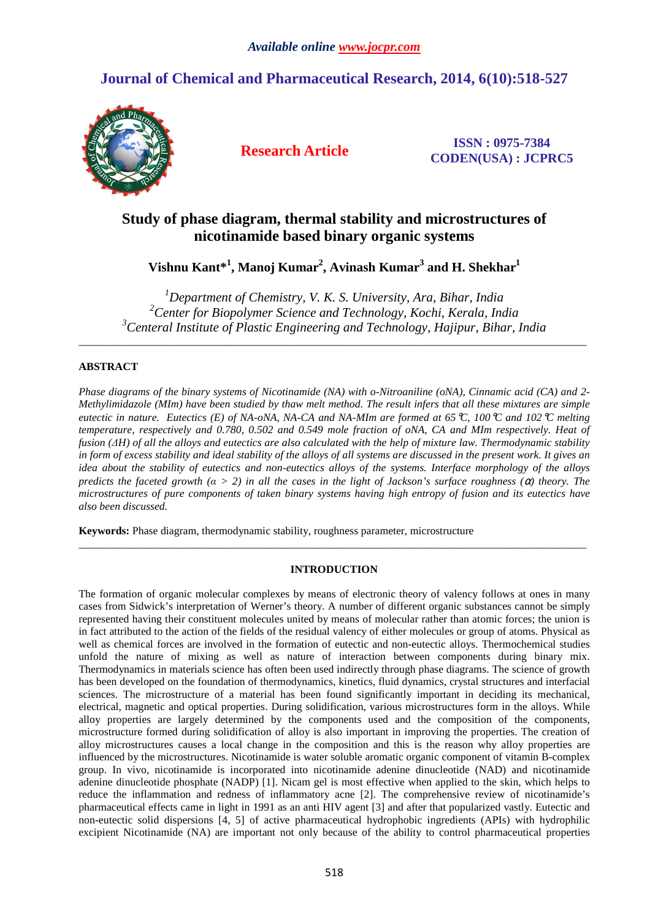# **Journal of Chemical and Pharmaceutical Research, 2014, 6(10):518-527**



**Research Article ISSN : 0975-7384 CODEN(USA) : JCPRC5**

# **Study of phase diagram, thermal stability and microstructures of nicotinamide based binary organic systems**

**Vishnu Kant\*<sup>1</sup> , Manoj Kumar<sup>2</sup> , Avinash Kumar<sup>3</sup> and H. Shekhar<sup>1</sup>**

*<sup>1</sup>Department of Chemistry, V. K. S. University, Ara, Bihar, India <sup>2</sup>Center for Biopolymer Science and Technology, Kochi, Kerala, India <sup>3</sup>Centeral Institute of Plastic Engineering and Technology, Hajipur, Bihar, India* 

\_\_\_\_\_\_\_\_\_\_\_\_\_\_\_\_\_\_\_\_\_\_\_\_\_\_\_\_\_\_\_\_\_\_\_\_\_\_\_\_\_\_\_\_\_\_\_\_\_\_\_\_\_\_\_\_\_\_\_\_\_\_\_\_\_\_\_\_\_\_\_\_\_\_\_\_\_\_\_\_\_\_\_\_\_\_\_\_\_\_\_\_\_

# **ABSTRACT**

*Phase diagrams of the binary systems of Nicotinamide (NA) with o-Nitroaniline (oNA), Cinnamic acid (CA) and 2- Methylimidazole (MIm) have been studied by thaw melt method. The result infers that all these mixtures are simple eutectic in nature. Eutectics (E) of NA-oNA, NA-CA and NA-MIm are formed at 65*°*C, 100*°*C and 102*°*C melting temperature, respectively and 0.780, 0.502 and 0.549 mole fraction of oNA, CA and MIm respectively. Heat of fusion (∆H) of all the alloys and eutectics are also calculated with the help of mixture law. Thermodynamic stability in form of excess stability and ideal stability of the alloys of all systems are discussed in the present work. It gives an idea about the stability of eutectics and non-eutectics alloys of the systems. Interface morphology of the alloys predicts the faceted growth*  $(a > 2)$  *in all the cases in the light of Jackson's surface roughness*  $(a)$  *theory. The microstructures of pure components of taken binary systems having high entropy of fusion and its eutectics have also been discussed.* 

**Keywords:** Phase diagram, thermodynamic stability, roughness parameter, microstructure

## **INTRODUCTION**

 $\overline{a}$  , and the contribution of the contribution of the contribution of the contribution of the contribution of the contribution of the contribution of the contribution of the contribution of the contribution of the co

The formation of organic molecular complexes by means of electronic theory of valency follows at ones in many cases from Sidwick's interpretation of Werner's theory. A number of different organic substances cannot be simply represented having their constituent molecules united by means of molecular rather than atomic forces; the union is in fact attributed to the action of the fields of the residual valency of either molecules or group of atoms. Physical as well as chemical forces are involved in the formation of eutectic and non-eutectic alloys. Thermochemical studies unfold the nature of mixing as well as nature of interaction between components during binary mix. Thermodynamics in materials science has often been used indirectly through phase diagrams. The science of growth has been developed on the foundation of thermodynamics, kinetics, fluid dynamics, crystal structures and interfacial sciences. The microstructure of a material has been found significantly important in deciding its mechanical, electrical, magnetic and optical properties. During solidification, various microstructures form in the alloys. While alloy properties are largely determined by the components used and the composition of the components, microstructure formed during solidification of alloy is also important in improving the properties. The creation of alloy microstructures causes a local change in the composition and this is the reason why alloy properties are influenced by the microstructures. Nicotinamide is water soluble aromatic organic component of vitamin B-complex group. In vivo, nicotinamide is incorporated into nicotinamide adenine dinucleotide (NAD) and nicotinamide adenine dinucleotide phosphate (NADP) [1]. Nicam gel is most effective when applied to the skin, which helps to reduce the inflammation and redness of inflammatory acne [2]. The comprehensive review of nicotinamide's pharmaceutical effects came in light in 1991 as an anti HIV agent [3] and after that popularized vastly. Eutectic and non-eutectic solid dispersions [4, 5] of active pharmaceutical hydrophobic ingredients (APIs) with hydrophilic excipient Nicotinamide (NA) are important not only because of the ability to control pharmaceutical properties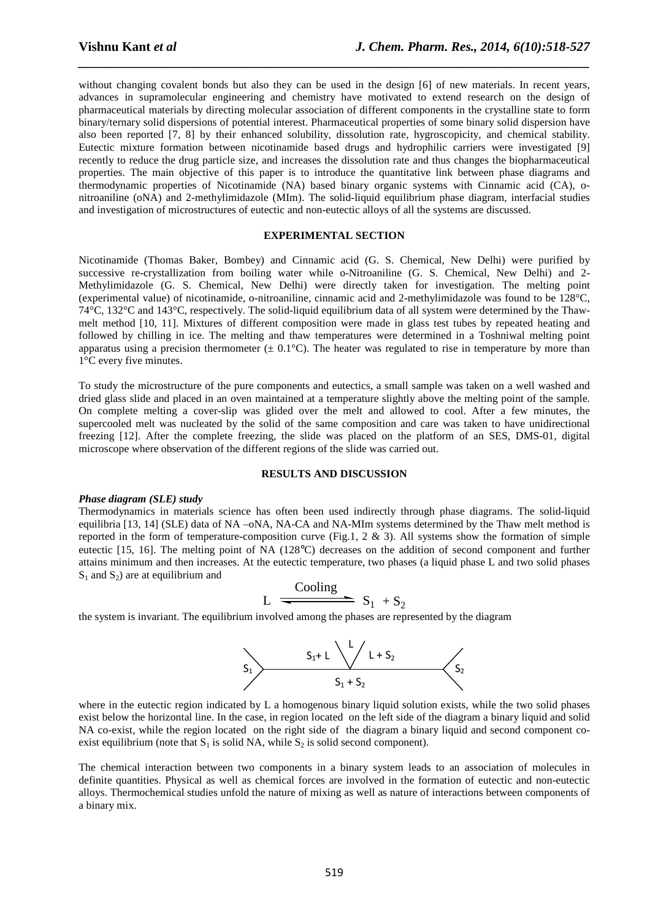without changing covalent bonds but also they can be used in the design [6] of new materials. In recent years, advances in supramolecular engineering and chemistry have motivated to extend research on the design of pharmaceutical materials by directing molecular association of different components in the crystalline state to form binary/ternary solid dispersions of potential interest. Pharmaceutical properties of some binary solid dispersion have also been reported [7, 8] by their enhanced solubility, dissolution rate, hygroscopicity, and chemical stability. Eutectic mixture formation between nicotinamide based drugs and hydrophilic carriers were investigated [9] recently to reduce the drug particle size, and increases the dissolution rate and thus changes the biopharmaceutical properties. The main objective of this paper is to introduce the quantitative link between phase diagrams and thermodynamic properties of Nicotinamide (NA) based binary organic systems with Cinnamic acid (CA), onitroaniline (oNA) and 2-methylimidazole (MIm). The solid-liquid equilibrium phase diagram, interfacial studies and investigation of microstructures of eutectic and non-eutectic alloys of all the systems are discussed.

*\_\_\_\_\_\_\_\_\_\_\_\_\_\_\_\_\_\_\_\_\_\_\_\_\_\_\_\_\_\_\_\_\_\_\_\_\_\_\_\_\_\_\_\_\_\_\_\_\_\_\_\_\_\_\_\_\_\_\_\_\_\_\_\_\_\_\_\_\_\_\_\_\_\_\_\_\_\_*

## **EXPERIMENTAL SECTION**

Nicotinamide (Thomas Baker, Bombey) and Cinnamic acid (G. S. Chemical, New Delhi) were purified by successive re-crystallization from boiling water while o-Nitroaniline (G. S. Chemical, New Delhi) and 2- Methylimidazole (G. S. Chemical, New Delhi) were directly taken for investigation. The melting point (experimental value) of nicotinamide, o-nitroaniline, cinnamic acid and 2-methylimidazole was found to be 128°C, 74°C, 132°C and 143°C, respectively. The solid-liquid equilibrium data of all system were determined by the Thawmelt method [10, 11]. Mixtures of different composition were made in glass test tubes by repeated heating and followed by chilling in ice. The melting and thaw temperatures were determined in a Toshniwal melting point apparatus using a precision thermometer  $(\pm 0.1^{\circ}C)$ . The heater was regulated to rise in temperature by more than 1°C every five minutes.

To study the microstructure of the pure components and eutectics, a small sample was taken on a well washed and dried glass slide and placed in an oven maintained at a temperature slightly above the melting point of the sample. On complete melting a cover-slip was glided over the melt and allowed to cool. After a few minutes, the supercooled melt was nucleated by the solid of the same composition and care was taken to have unidirectional freezing [12]. After the complete freezing, the slide was placed on the platform of an SES, DMS-01, digital microscope where observation of the different regions of the slide was carried out.

#### **RESULTS AND DISCUSSION**

#### *Phase diagram (SLE) study*

Thermodynamics in materials science has often been used indirectly through phase diagrams. The solid-liquid equilibria [13, 14] (SLE) data of NA –oNA, NA-CA and NA-MIm systems determined by the Thaw melt method is reported in the form of temperature-composition curve (Fig.1,  $2 \& 3$ ). All systems show the formation of simple eutectic [15, 16]. The melting point of NA (128°C) decreases on the addition of second component and further attains minimum and then increases. At the eutectic temperature, two phases (a liquid phase L and two solid phases  $S_1$  and  $S_2$ ) are at equilibrium and

$$
L \xrightarrow{\text{Cooling}} S_1 + S_2
$$

the system is invariant. The equilibrium involved among the phases are represented by the diagram



where in the eutectic region indicated by L a homogenous binary liquid solution exists, while the two solid phases exist below the horizontal line. In the case, in region located on the left side of the diagram a binary liquid and solid NA co-exist, while the region located on the right side of the diagram a binary liquid and second component coexist equilibrium (note that  $S_1$  is solid NA, while  $S_2$  is solid second component).

The chemical interaction between two components in a binary system leads to an association of molecules in definite quantities. Physical as well as chemical forces are involved in the formation of eutectic and non-eutectic alloys. Thermochemical studies unfold the nature of mixing as well as nature of interactions between components of a binary mix.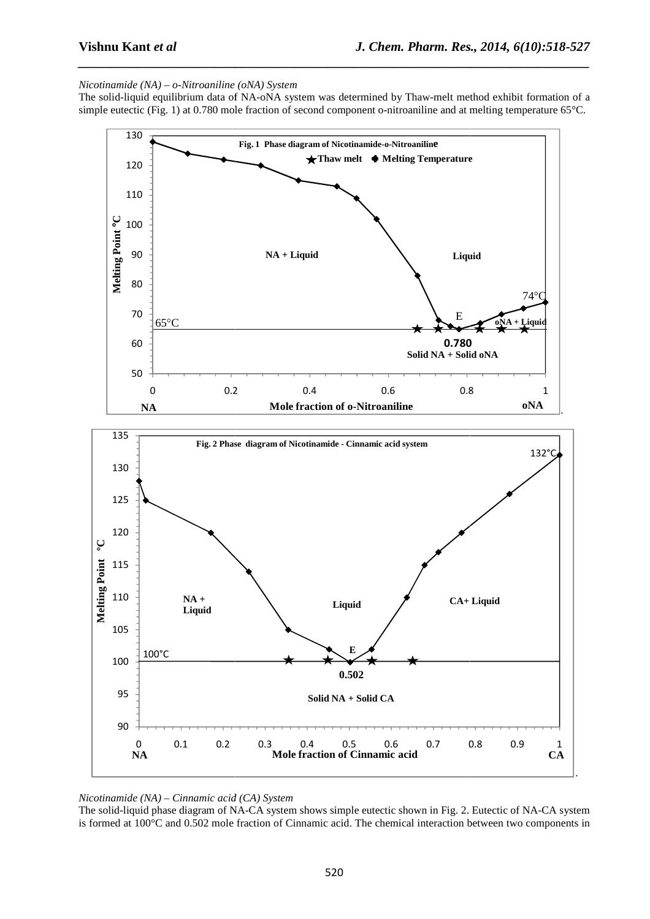## *Nicotinamide* (NA) – o-Nitroaniline (oNA) System

The solid-liquid equilibrium data of NA-oNA system was determined by Thaw-melt method exhibit formation of a simple eutectic (Fig. 1) at  $0.780$  mole fraction of second component o-nitroaniline and at melting temperature  $65^{\circ}$ C.

*\_\_\_\_\_\_\_\_\_\_\_\_\_\_\_\_\_\_\_\_\_\_\_\_\_\_\_\_\_\_\_\_\_\_\_\_\_\_\_\_\_\_\_\_\_\_\_\_\_\_\_\_\_\_\_\_\_\_\_\_\_\_\_\_\_\_\_\_\_\_\_\_\_\_\_\_\_\_*



*Nicotinamide (NA) – Cinnamic acid (CA) System*

The solid-liquid phase diagram of NA-CA system shows simple eutectic shown in Fig. 2. Eutectic of NA-CA system is formed at 100°C and 0.502 mole fraction of Cinnamic acid. The chemical interaction between two components in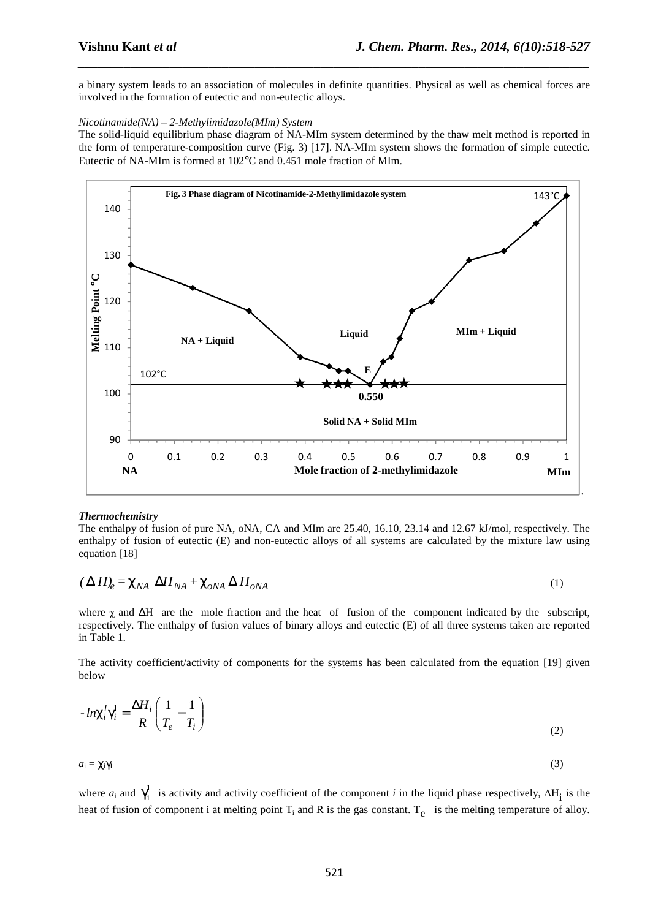a binary system leads to an association of molecules in definite quantities. Physical as well as chemical forces are involved in the formation of eutectic and non-eutectic alloys.

*\_\_\_\_\_\_\_\_\_\_\_\_\_\_\_\_\_\_\_\_\_\_\_\_\_\_\_\_\_\_\_\_\_\_\_\_\_\_\_\_\_\_\_\_\_\_\_\_\_\_\_\_\_\_\_\_\_\_\_\_\_\_\_\_\_\_\_\_\_\_\_\_\_\_\_\_\_\_*

## *Nicotinamide(NA) – 2-Methylimidazole(MIm) System*

The solid-liquid equilibrium phase diagram of NA-MIm system determined by the thaw melt method is reported in the form of temperature-composition curve (Fig. 3) [17]. NA-MIm system shows the formation of simple eutectic. Eutectic of NA-MIm is formed at 102°C and 0.451 mole fraction of MIm.



## *Thermochemistry*

The enthalpy of fusion of pure NA, oNA, CA and MIm are 25.40, 16.10, 23.14 and 12.67 kJ/mol, respectively. The enthalpy of fusion of eutectic (E) and non-eutectic alloys of all systems are calculated by the mixture law using equation [18]

$$
(\Delta H)_e = \chi_{NA} \ \Delta H_{NA} + \chi_{oNA} \Delta H_{oNA}
$$
 (1)

where χ and ΔH are the mole fraction and the heat of fusion of the component indicated by the subscript, respectively. The enthalpy of fusion values of binary alloys and eutectic (E) of all three systems taken are reported in Table 1.

The activity coefficient/activity of components for the systems has been calculated from the equation [19] given below

$$
-ln\chi_i^l\gamma_i^l = \frac{\Delta H_i}{R} \left(\frac{1}{T_e} - \frac{1}{T_i}\right)
$$
\n(2)

 $a_i = \chi_i \gamma_I$ (3)

where  $a_i$  and  $\gamma_i^1$  is activity and activity coefficient of the component *i* in the liquid phase respectively,  $\Delta H_i$  is the heat of fusion of component i at melting point  $T_i$  and R is the gas constant.  $T_e$  is the melting temperature of alloy.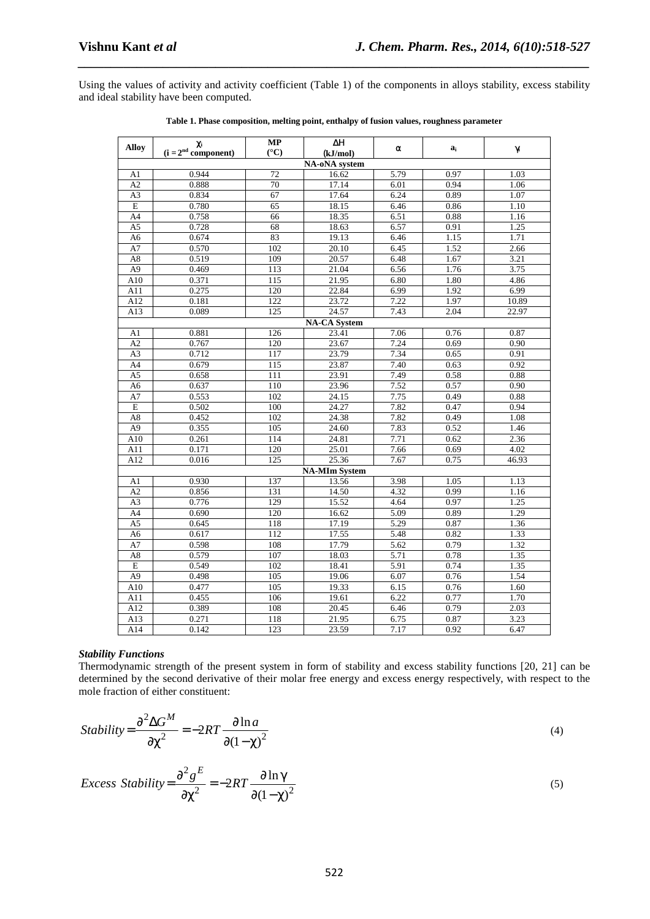Using the values of activity and activity coefficient (Table 1) of the components in alloys stability, excess stability and ideal stability have been computed.

*\_\_\_\_\_\_\_\_\_\_\_\_\_\_\_\_\_\_\_\_\_\_\_\_\_\_\_\_\_\_\_\_\_\_\_\_\_\_\_\_\_\_\_\_\_\_\_\_\_\_\_\_\_\_\_\_\_\_\_\_\_\_\_\_\_\_\_\_\_\_\_\_\_\_\_\_\_\_*

| <b>Alloy</b>    | χi                    | <b>MP</b>        | ΔH                        | α    | $a_i$ | γ     |  |
|-----------------|-----------------------|------------------|---------------------------|------|-------|-------|--|
|                 | $(i = 2nd component)$ | $({}^{\circ}C)$  | (kJ/mol)<br>NA-oNA system |      |       |       |  |
| A1              | 0.944                 | 72               | 16.62                     | 5.79 | 0.97  | 1.03  |  |
| A2              | 0.888                 | 70               | 17.14                     | 6.01 | 0.94  | 1.06  |  |
| A3              | 0.834                 | 67               | 17.64                     | 6.24 | 0.89  | 1.07  |  |
| $\overline{E}$  | 0.780                 | 65               | 18.15                     | 6.46 | 0.86  | 1.10  |  |
| A4              | 0.758                 | 66               | 18.35                     | 6.51 | 0.88  | 1.16  |  |
| A <sub>5</sub>  | 0.728                 | 68               | 18.63                     | 6.57 | 0.91  | 1.25  |  |
| A <sub>6</sub>  | 0.674                 | 83               | 19.13                     | 6.46 | 1.15  | 1.71  |  |
| A7              | 0.570                 | 102              | 20.10                     | 6.45 | 1.52  | 2.66  |  |
| $\rm A8$        | 0.519                 | 109              | 20.57                     | 6.48 | 1.67  | 3.21  |  |
| A <sub>9</sub>  | 0.469                 | 113              | 21.04                     | 6.56 | 1.76  | 3.75  |  |
| A10             | 0.371                 | $\overline{115}$ | 21.95                     | 6.80 | 1.80  | 4.86  |  |
| A11             | 0.275                 | 120              | 22.84                     | 6.99 | 1.92  | 6.99  |  |
| A12             | 0.181                 | 122              | 23.72                     | 7.22 | 1.97  | 10.89 |  |
| A13             | 0.089                 | 125              | 24.57                     | 7.43 | 2.04  | 22.97 |  |
|                 | <b>NA-CA System</b>   |                  |                           |      |       |       |  |
| A1              | 0.881                 | 126              | 23.41                     | 7.06 | 0.76  | 0.87  |  |
| A2              | 0.767                 | 120              | 23.67                     | 7.24 | 0.69  | 0.90  |  |
| A <sub>3</sub>  | 0.712                 | 117              | 23.79                     | 7.34 | 0.65  | 0.91  |  |
| A4              | 0.679                 | 115              | 23.87                     | 7.40 | 0.63  | 0.92  |  |
| A <sub>5</sub>  | 0.658                 | 111              | 23.91                     | 7.49 | 0.58  | 0.88  |  |
| A <sub>6</sub>  | 0.637                 | 110              | 23.96                     | 7.52 | 0.57  | 0.90  |  |
| $\rm A7$        | 0.553                 | 102              | 24.15                     | 7.75 | 0.49  | 0.88  |  |
| $\overline{E}$  | 0.502                 | 100              | 24.27                     | 7.82 | 0.47  | 0.94  |  |
| $\rm A8$        | 0.452                 | 102              | 24.38                     | 7.82 | 0.49  | 1.08  |  |
| $\overline{A9}$ | 0.355                 | 105              | 24.60                     | 7.83 | 0.52  | 1.46  |  |
| A10             | 0.261                 | 114              | 24.81                     | 7.71 | 0.62  | 2.36  |  |
| A11             | 0.171                 | 120              | 25.01                     | 7.66 | 0.69  | 4.02  |  |
| A12             | 0.016                 | 125              | 25.36                     | 7.67 | 0.75  | 46.93 |  |
|                 |                       |                  | <b>NA-MIm System</b>      |      |       |       |  |
| A1              | 0.930                 | 137              | 13.56                     | 3.98 | 1.05  | 1.13  |  |
| A2              | 0.856                 | 131              | 14.50                     | 4.32 | 0.99  | 1.16  |  |
| A <sub>3</sub>  | 0.776                 | 129              | 15.52                     | 4.64 | 0.97  | 1.25  |  |
| A4              | 0.690                 | 120              | 16.62                     | 5.09 | 0.89  | 1.29  |  |
| A <sub>5</sub>  | 0.645                 | 118              | 17.19                     | 5.29 | 0.87  | 1.36  |  |
| A <sub>6</sub>  | 0.617                 | 112              | 17.55                     | 5.48 | 0.82  | 1.33  |  |
| $\rm A7$        | 0.598                 | 108              | 17.79                     | 5.62 | 0.79  | 1.32  |  |
| A <sub>8</sub>  | 0.579                 | 107              | 18.03                     | 5.71 | 0.78  | 1.35  |  |
| $\overline{E}$  | 0.549                 | 102              | 18.41                     | 5.91 | 0.74  | 1.35  |  |
| A9              | 0.498                 | 105              | 19.06                     | 6.07 | 0.76  | 1.54  |  |
| A10             | 0.477                 | 105              | 19.33                     | 6.15 | 0.76  | 1.60  |  |
| A11             | 0.455                 | 106              | 19.61                     | 6.22 | 0.77  | 1.70  |  |
| A12             | 0.389                 | 108              | 20.45                     | 6.46 | 0.79  | 2.03  |  |
| A13             | 0.271                 | 118              | 21.95                     | 6.75 | 0.87  | 3.23  |  |
| A14             | 0.142                 | 123              | 23.59                     | 7.17 | 0.92  | 6.47  |  |

**Table 1. Phase composition, melting point, enthalpy of fusion values, roughness parameter** 

## *Stability Functions*

Thermodynamic strength of the present system in form of stability and excess stability functions [20, 21] can be determined by the second derivative of their molar free energy and excess energy respectively, with respect to the mole fraction of either constituent:

Stability = 
$$
\frac{\partial^2 \Delta G^M}{\partial \chi^2}
$$
 = -2RT  $\frac{\partial \ln a}{\partial (1 - \chi)^2}$  (4)

$$
Excess Stability = \frac{\partial^2 g^E}{\partial \chi^2} = -2RT \frac{\partial \ln \gamma}{\partial (1 - \chi)^2}
$$
\n<sup>(5)</sup>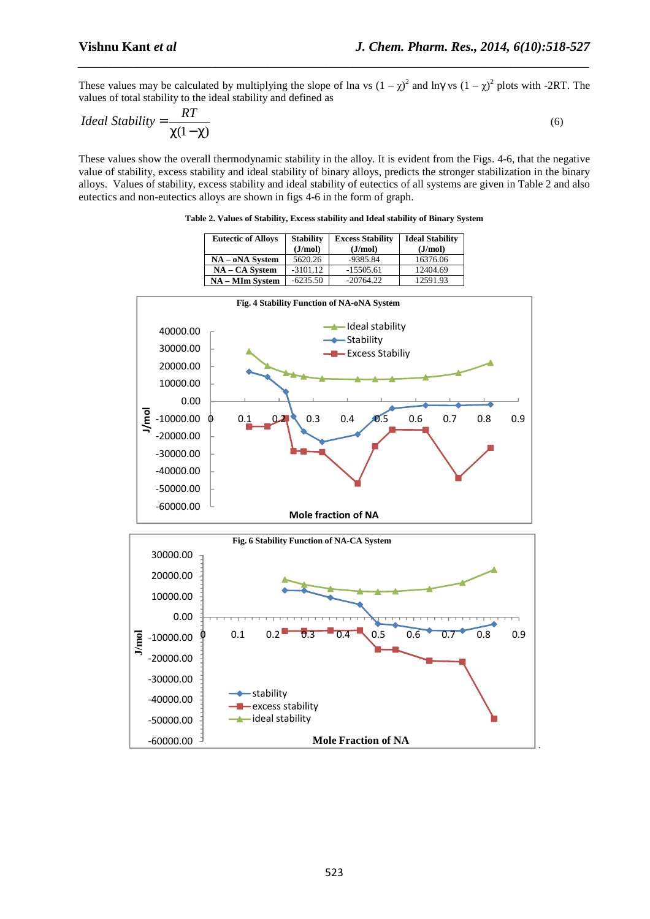.

These values may be calculated by multiplying the slope of lna vs  $(1 - \chi)^2$  and ln $\gamma$  vs  $(1 - \chi)^2$  plots with -2RT. The values of total stability to the ideal stability and defined as

*\_\_\_\_\_\_\_\_\_\_\_\_\_\_\_\_\_\_\_\_\_\_\_\_\_\_\_\_\_\_\_\_\_\_\_\_\_\_\_\_\_\_\_\_\_\_\_\_\_\_\_\_\_\_\_\_\_\_\_\_\_\_\_\_\_\_\_\_\_\_\_\_\_\_\_\_\_\_*

$$
Ideal Stability = \frac{RT}{\chi(1-\chi)}\tag{6}
$$

These values show the overall thermodynamic stability in the alloy. It is evident from the Figs. 4-6, that the negative value of stability, excess stability and ideal stability of binary alloys, predicts the stronger stabilization in the binary alloys. Values of stability, excess stability and ideal stability of eutectics of all systems are given in Table 2 and also eutectics and non-eutectics alloys are shown in figs 4-6 in the form of graph.

|                                                                                                                                                         | NA - MIm System                                              | $-6235.50$                                 | $-20764.22$                                                                        | 12591.93   |     |     |  |
|---------------------------------------------------------------------------------------------------------------------------------------------------------|--------------------------------------------------------------|--------------------------------------------|------------------------------------------------------------------------------------|------------|-----|-----|--|
|                                                                                                                                                         |                                                              | Fig. 4 Stability Function of NA-oNA System |                                                                                    |            |     |     |  |
| 40000.00<br>30000.00<br>20000.00<br>10000.00<br>0.00<br>J/mol<br>$-10000.00$<br>$-20000.00$<br>$-30000.00$<br>$-40000.00$<br>$-50000.00$<br>$-60000.00$ | 0.1<br>0.2<br>0                                              | 0.3<br><b>Mole fraction of NA</b>          | deal stability<br>$\leftarrow$ Stability<br><b>- Excess Stabiliy</b><br>0.5<br>0.4 | 0.6<br>0.7 | 0.8 | 0.9 |  |
| Fig. 6 Stability Function of NA-CA System                                                                                                               |                                                              |                                            |                                                                                    |            |     |     |  |
| 30000.00<br>20000.00<br>10000.00                                                                                                                        |                                                              |                                            |                                                                                    |            |     |     |  |
| 0.00<br><b>J/mol</b><br>$-10000.00$<br>$-20000.00$                                                                                                      | 0.1<br>0.2                                                   | 0.3                                        | 0.4<br>0.5                                                                         | 0.6<br>0.7 | 0.8 | 0.9 |  |
| $-30000.00$<br>$-40000.00$<br>$-50000.00$                                                                                                               | <b>+</b> stability<br>- excess stability<br>-adeal stability |                                            |                                                                                    |            |     |     |  |
| $-60000.00$                                                                                                                                             |                                                              |                                            | <b>Mole Fraction of NA</b>                                                         |            |     |     |  |

**Table 2. Values of Stability, Excess stability and Ideal stability of Binary System** 

**NA – oNA System** 5620.26 -9385.84 16376.06<br>**NA – CA System** -3101.12 -15505.61 12404.69

**Excess Stability (J/mol)** 

**Ideal Stability (J/mol)** 

**(J/mol)** 

**Eutectic of Alloys Stability** 

**NA – CA System**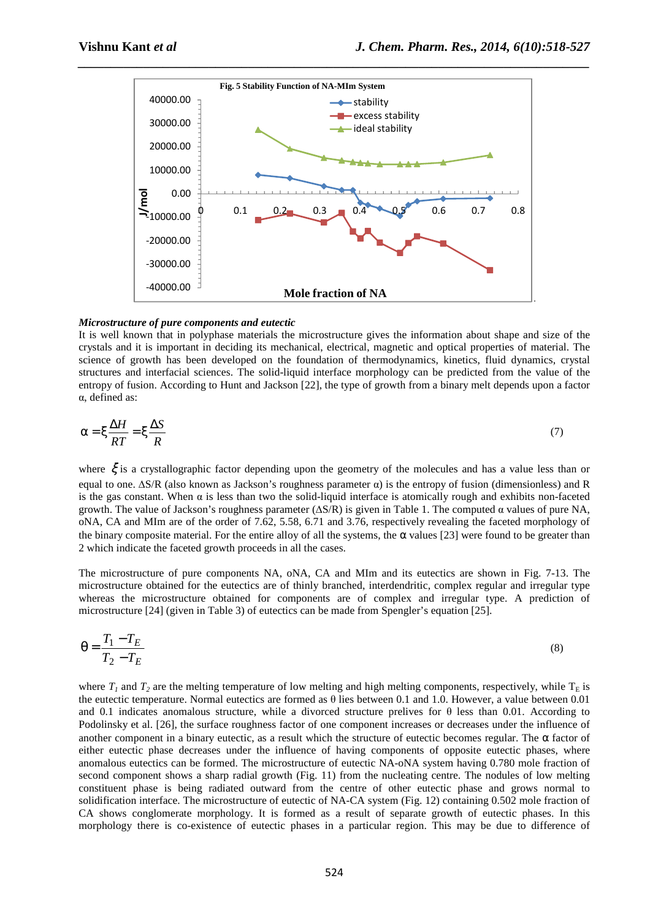

### *Microstructure of pure components and eutectic*

It is well known that in polyphase materials the microstructure gives the information about shape and size of the crystals and it is important in deciding its mechanical, electrical, magnetic and optical properties of material. The science of growth has been developed on the foundation of thermodynamics, kinetics, fluid dynamics, crystal structures and interfacial sciences. The solid-liquid interface morphology can be predicted from the value of the entropy of fusion. According to Hunt and Jackson [22], the type of growth from a binary melt depends upon a factor α, defined as:

$$
\alpha = \xi \frac{\Delta H}{RT} = \xi \frac{\Delta S}{R}
$$
 (7)

where ξ is a crystallographic factor depending upon the geometry of the molecules and has a value less than or equal to one. ∆S/R (also known as Jackson's roughness parameter α) is the entropy of fusion (dimensionless) and R is the gas constant. When  $\alpha$  is less than two the solid-liquid interface is atomically rough and exhibits non-faceted growth. The value of Jackson's roughness parameter ( $\Delta S/R$ ) is given in Table 1. The computed  $\alpha$  values of pure NA, oNA, CA and MIm are of the order of 7.62, 5.58, 6.71 and 3.76, respectively revealing the faceted morphology of the binary composite material. For the entire alloy of all the systems, the  $\alpha$  values [23] were found to be greater than 2 which indicate the faceted growth proceeds in all the cases.

The microstructure of pure components NA, oNA, CA and MIm and its eutectics are shown in Fig. 7-13. The microstructure obtained for the eutectics are of thinly branched, interdendritic, complex regular and irregular type whereas the microstructure obtained for components are of complex and irregular type. A prediction of microstructure [24] (given in Table 3) of eutectics can be made from Spengler's equation [25].

$$
\theta = \frac{T_1 - T_E}{T_2 - T_E} \tag{8}
$$

where  $T_I$  and  $T_2$  are the melting temperature of low melting and high melting components, respectively, while  $T_E$  is the eutectic temperature. Normal eutectics are formed as θ lies between 0.1 and 1.0. However, a value between 0.01 and 0.1 indicates anomalous structure, while a divorced structure prelives for  $\theta$  less than 0.01. According to Podolinsky et al. [26], the surface roughness factor of one component increases or decreases under the influence of another component in a binary eutectic, as a result which the structure of eutectic becomes regular. The  $\alpha$  factor of either eutectic phase decreases under the influence of having components of opposite eutectic phases, where anomalous eutectics can be formed. The microstructure of eutectic NA-oNA system having 0.780 mole fraction of second component shows a sharp radial growth (Fig. 11) from the nucleating centre. The nodules of low melting constituent phase is being radiated outward from the centre of other eutectic phase and grows normal to solidification interface. The microstructure of eutectic of NA-CA system (Fig. 12) containing 0.502 mole fraction of CA shows conglomerate morphology. It is formed as a result of separate growth of eutectic phases. In this morphology there is co-existence of eutectic phases in a particular region. This may be due to difference of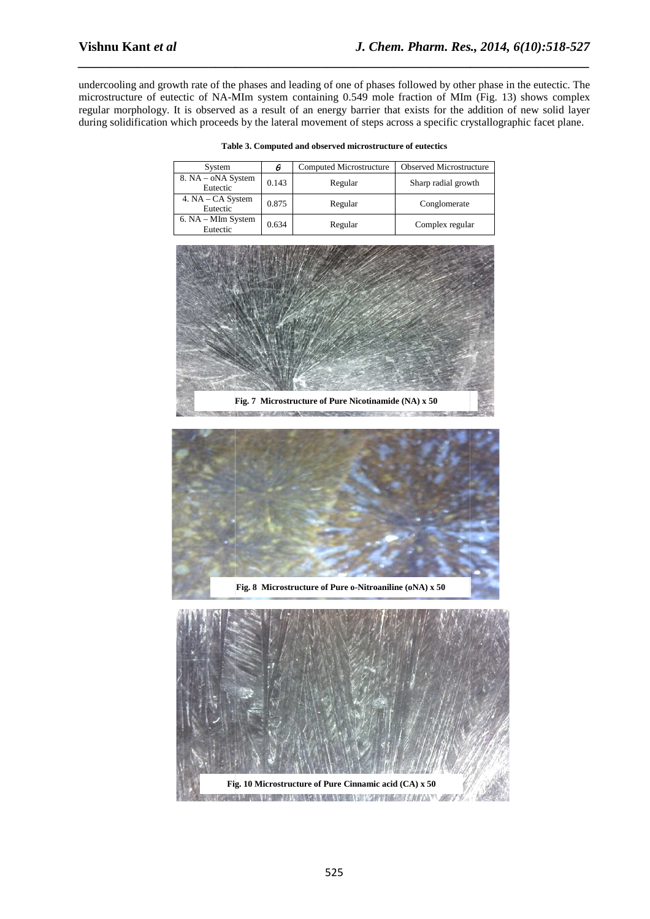undercooling and growth rate of the phases and leading of one of phases followed by other phase in the eutectic. The microstructure of eutectic of NA-MIm system containing 0.549 mole fraction of MIm (Fig. 13) shows complex regular morphology. It is observed as a result of an energy barrier that exists for the addition of new solid layer during solidification which proceeds by the lateral movement of steps across a specific crystallographic facet plane.

*\_\_\_\_\_\_\_\_\_\_\_\_\_\_\_\_\_\_\_\_\_\_\_\_\_\_\_\_\_\_\_\_\_\_\_\_\_\_\_\_\_\_\_\_\_\_\_\_\_\_\_\_\_\_\_\_\_\_\_\_\_\_\_\_\_\_\_\_\_\_\_\_\_\_\_\_\_\_*

| System                         | θ     | Computed Microstructure | <b>Observed Microstructure</b> |
|--------------------------------|-------|-------------------------|--------------------------------|
| 8. NA – oNA System<br>Eutectic | 0.143 | Regular                 | Sharp radial growth            |
| 4. NA – CA System<br>Eutectic  | 0.875 | Regular                 | Conglomerate                   |
| 6. NA – MIm System<br>Eutectic | 0.634 | Regular                 | Complex regular                |

**Table 3. Com Computed and observed microstructure of eutectics** 



the first of the company of the company of the company of the company of the company of the company of the company of



**Fig. 8 Microstructure of Pure o-Nitroaniline (oNA) x 50** 

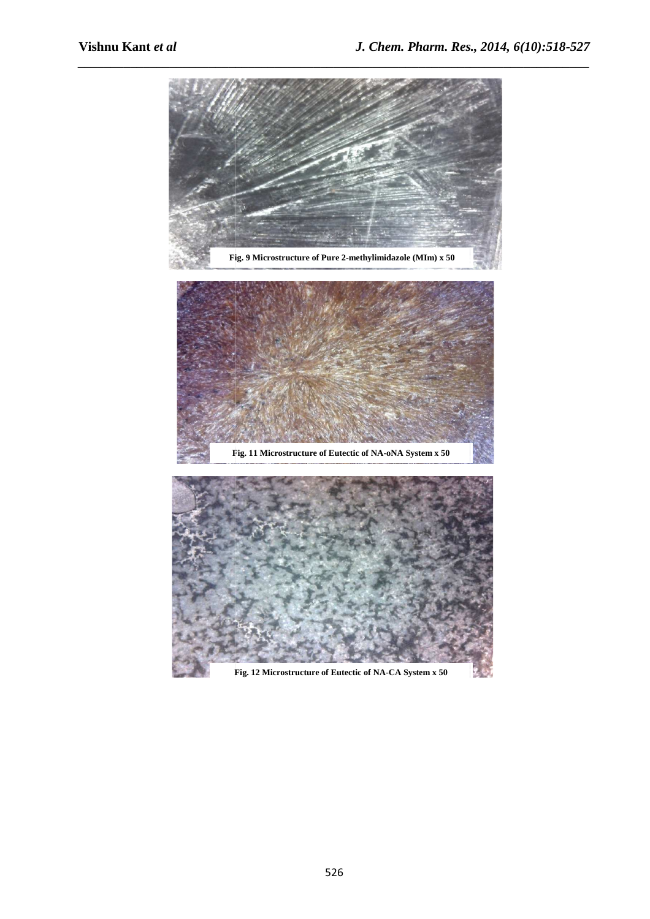